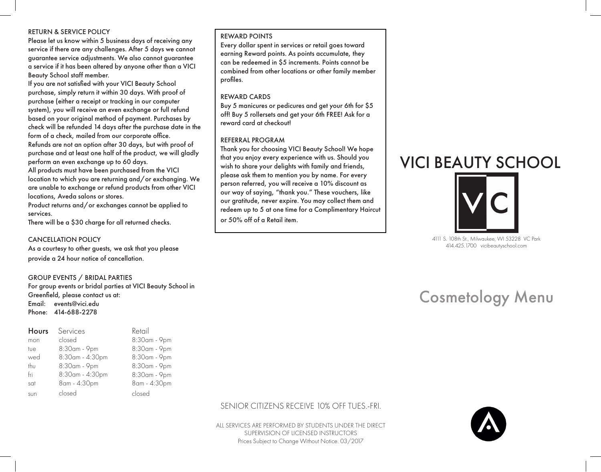### RETURN & SERVICE POLICY

Please let us know within 5 business days of receiving any service if there are any challenges. After 5 days we cannot guarantee service adjustments. We also cannot guarantee a service if it has been altered by anyone other than a VICI Beauty School staff member.

If you are not satisfied with your VICI Beauty School purchase, simply return it within 30 days. With proof of purchase (either a receipt or tracking in our computer system), you will receive an even exchange or full refund based on your original method of payment. Purchases by check will be refunded 14 days after the purchase date in the form of a check, mailed from our corporate office. Refunds are not an option after 30 days, but with proof of purchase and at least one half of the product, we will gladly perform an even exchange up to 60 days.

All products must have been purchased from the VICI location to which you are returning and/or exchanging. We are unable to exchange or refund products from other VICI locations, Aveda salons or stores.

Product returns and/or exchanges cannot be applied to services.

There will be a \$30 charge for all returned checks.

#### CANCELLATION POLICY

As a courtesy to other guests, we ask that you please provide a 24 hour notice of cancellation.

#### GROUP EVENTS / BRIDAL PARTIES

For group events or bridal parties at VICI Beauty School in Greenfield, please contact us at: Email: events@vici.edu Phone: 414-688-2278

| <b>Hours</b> | Services        | Retail       |
|--------------|-----------------|--------------|
| mon          | closed          | 8:30am - 9pm |
| tue          | 8:30am - 9pm    | 8:30am - 9pm |
| wed          | 8:30am - 4:30pm | 8:30am - 9pm |
| thu          | 8:30am - 9pm    | 8:30am - 9pm |
| fri          | 8:30am - 4:30pm | 8:30am - 9pm |
| sat          | 8am - 4:30pm    | 8am - 4:30pm |
| sun          | closed          | closed       |

#### REWARD POINTS

Every dollar spent in services or retail goes toward earning Reward points. As points accumulate, they can be redeemed in \$5 increments. Points cannot be combined from other locations or other family member profiles.

#### REWARD CARDS

Buy 5 manicures or pedicures and get your 6th for \$5 off! Buy 5 rollersets and get your 6th FREE! Ask for a reward card at checkout!

#### REFERRAL PROGRAM

Thank you for choosing VICI Beauty School! We hope that you enjoy every experience with us. Should you wish to share your delights with family and friends, please ask them to mention you by name. For every person referred, you will receive a 10% discount as our way of saying, "thank you." These vouchers, like our gratitude, never expire. You may collect them and redeem up to 5 at one time for a Complimentary Haircut or 50% off of a Retail item.

# VICI BEAUTY SCHOOL



4111 S. 108th St., Milwaukee, WI 53228 VC Park 414.425.1700 vicibeautyschool.com

# Cosmetology Menu

## SENIOR CITIZENS RECEIVE 10% OFF TUES.-FRI.

ALL SERVICES ARE PERFORMED BY STUDENTS UNDER THE DIRECT SUPERVISION OF LICENSED INSTRUCTORS Prices Subject to Change Without Notice. 03/2017